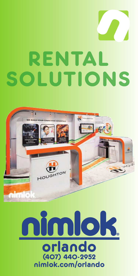# RENTAL SOLUTIONS



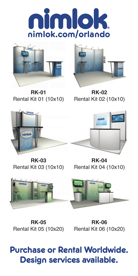



**RK-01** Rental Kit 01 (10x10) Rental Kit 02 (10x10)



**RK-02**



**RK-03**

Rental Kit 03 (10x10) Rental Kit 04 (10x10) **RK-04**



**RK-05**

Rental Kit 05 (10x20) Rental Kit 06 (10x20) **RK-06**

## **Purchase or Rental Worldwide. Design services available.**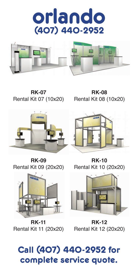



**RK-07** Rental Kit 07 (10x20)

**RK-08** Rental Kit 08 (10x20)



**RK-09** Rental Kit 09 (20x20)



**RK-10** Rental Kit 10 (20x20)



**RK-11** Rental Kit 11 (20x20)

**RK-12** Rental Kit 12 (20x20)